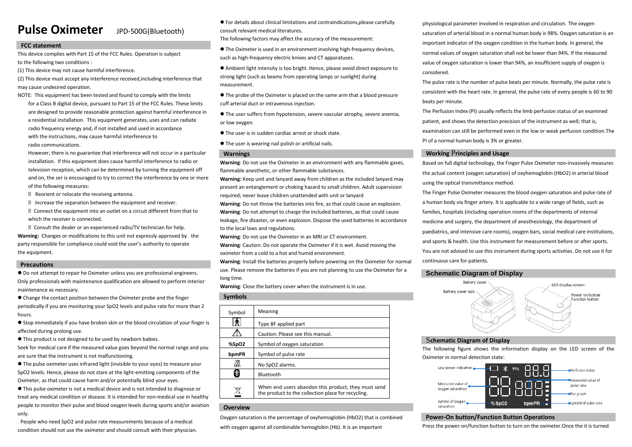# **Pulse Oximeter** JPD-500G(Bluetooth)

# **FCC statement**

This device complies with Part 15 of the FCC Rules. Operation is subject to the following two conditions :

(1) This device may not cause harmful interference.

(2) This device must accept any interference received,including interference that may cause undesired operation.

NOTE: This equipment has been tested and found to comply with the limits for a Class B digital device, pursuant to Part 15 of the FCC Rules. These limits are designed to provide reasonable protection against harmful interference in a residential installation. This equipment generates, uses and can radiate radio frequency energy and, if not installed and used in accordance with the instructions, may cause harmful interference to radio communications.

However, there is no guarantee that interference will not occur in a particular installation. If this equipment does cause harmful interference to radio or television reception, which can be determined by turning the equipment off and on, the ser is encouraged to try to correct the interference by one or more of the following measures:

**② Reorient or relocate the receiving antenna.** 

*D* Increase the separation between the equipment and receiver.

● Connect the equipment into an outlet on a circuit different from that to which the receiver is connected.

**② Consult the dealer or an experienced radio/TV technician for help. Warning:** Changes or modifications to this unit not expressly approved by the party responsible for compliance could void the user's authority to operate the equipment.

# **Precautions**

 $\bullet$  Do not attempt to repair he Oximeter unless you are professional engineers. Only professionals with maintenance qualification are allowed to perform interior maintenance as necessary.

 Change the contact position between the Oximeter probe and the finger periodically if you are monitoring your SpO2 levels and pulse rate for more than 2 hours.

● Stop immediately if you have broken skin or the blood circulation of your finger is affected during prolong use.

This product is not designed to be used by newborn babies.

Seek for medical care if the measured value goes beyond the normal range and you are sure that the instrument is not malfunctioning.

 The pulse oximeter uses infrared light (invisible to your eyes) to measure your SpO2 levels. Hence, please do not stare at the light-emitting components of the Oximeter, as that could cause harm and/or potentially blind your eyes.

 This pulse oximeter is not a medical device and is not intended to diagnose or treat any medical condition or disease. It is intended for non-medical use in healthy people to monitor their pulse and blood oxygen levels during sports and/or aviation only.

People who need SpO2 and pulse rate measurements because of a medical condition should not use the oximeter and should consult with their physician.

 For details about clinical limitations and contraindications,please carefully consult relevant medical literatures.

The following factors may affect the accuracy of the measurement:

 The Oximeter is used in an environment involving high-frequency devices, such as high-frequency electric knives and CT apparatuses.

 Ambient light intensity is too bright. Hence, please avoid direct exposure to strong light (such as beams from operating lamps or sunlight) during measurement.

- The probe of the Oximeter is placed on the same arm that a blood pressure cuff arterial duct or intravenous injection.
- The user suffers from hypotension, severe vascular atrophy, severe anemia, or low oxygen.
- The user is in sudden cardiac arrest or shock state.
- The user is wearing nail polish or artificial nails.

# **Warnings**

**Warning**: Do not use the Oximeter in an environment with any flammable gases, flammable anesthetic, or other flammable substances.

**Warning:** Keep unit and lanyard away from children as the included lanyard may present an entanglement or choking hazard to small children. Adult supervision required; never leave children unattended with unit or lanyard

**Warning**: Do not throw the batteries into fire, as that could cause an explosion. **Warning**: Do not attempt to charge the included batteries, as that could cause leakage, fire disaster, or even explosion. Dispose the used batteries in accordance to the local laws and regulations.

**Warning**: Do not use the Oximeter in an MRI or CT environment.

**Warning**: Caution: Do not operate the Oximeter if it is wet. Avoid moving the oximeter from a cold to a hot and humid environment.

**Warning**: Install the batteries properly before powering on the Oximeter for normal use. Please remove the batteries if you are not planning to use the Oximeter for a long time.

**Warning**: Close the battery cover when the instrument is in use.

# **Symbols**

| Symbol | Meaning                                                                                                   |  |
|--------|-----------------------------------------------------------------------------------------------------------|--|
|        | Type BF applied part                                                                                      |  |
|        | Caution: Please see this manual.                                                                          |  |
| %SpO2  | Symbol of oxygen saturation                                                                               |  |
| bpmPR  | Symbol of pulse rate                                                                                      |  |
| Ä.     | No SpO2 alarms.                                                                                           |  |
|        | Bluetooth                                                                                                 |  |
|        | When end users abandon this product, they must send<br>the product to the collection place for recycling. |  |

# **Overview**

Oxygen saturation is the percentage of oxyhemoglobin (HbO2) that is combined

with oxygen against all combinable hemoglobin (Hb). It is an important

physiological parameter involved in respiration and circulation. The oxygen saturation of arterial blood in a normal human body is 98%. Oxygen saturation is an important indicator of the oxygen condition in the human body. In general, the normal values of oxygen saturation shall not be lower than 94%. If the measured value of oxygen saturation is lower than 94%, an insufficient supply of oxygen is considered.

The pulse rate is the number of pulse beats per minute. Normally, the pulse rate is consistent with the heart rate. In general, the pulse rate of every people is 60 to 90 beats per minute.

The Perfusion Index (PI) usually reflects the limb perfusion status of an examined patient, and shows the detection precision of the instrument as well; that is, examination can still be performed even in the low or weak perfusion condition.The PI of a normal human body is 3% or greater.

# **Working** P**rinciples and Usage**

Based on full digital technology, the Finger Pulse Oximeter non-invasively measures the actual content (oxygen saturation) of oxyhemoglobin (HbO2) in arterial blood using the optical transmittance method.

The Finger Pulse Oximeter measures the blood oxygen saturation and pulse rate of a human body via finger artery. It is applicable to a wide range of fields, such as families, hospitals (including operation rooms of the departments of internal medicine and surgery, the department of anesthesiology, the department of paediatrics, and intensive care rooms), oxygen bars, social medical care institutions, and sports & health. Use this instrument for measurement before or after sports. You are not advised to use this instrument during sports activities. Do not use it for continuous care for patients.

# **Schematic Diagram of Display**



# S**chematic Diagram of Display**

The following figure shows the information display on the LED screen of the Oximeter in normal detection state:



# **Power-On button/Function Button Operations**

Press the power-on/function button to turn on the oximeter.Once the it is turned